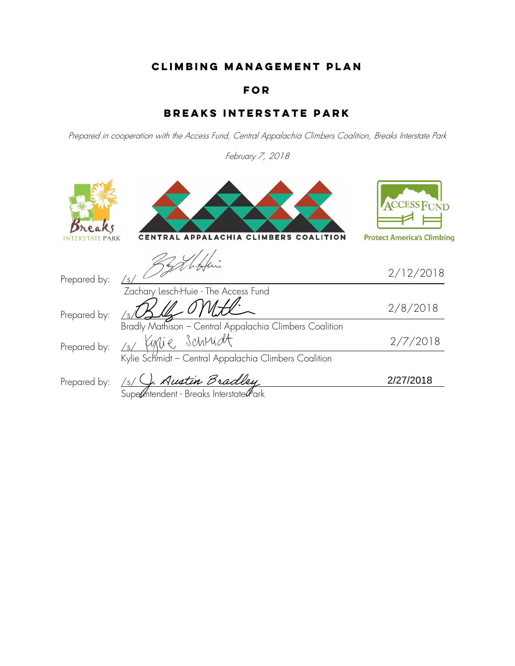## **Climbing Management Plan**

### **for**

## **Breaks Interstate Park**

Prepared in cooperation with the Access Fund, Central Appalachia Climbers Coalition, Breaks Interstate Park

February 7, 2018

|              | <b>CLIMBERS</b><br><b>COALITION</b>                                                                                                | ACCESS FUND<br><b>Protect America's Climbing</b> |
|--------------|------------------------------------------------------------------------------------------------------------------------------------|--------------------------------------------------|
| Prepared by: | /s/                                                                                                                                | 2/12/2018                                        |
| Prepared by: | Zachary Lesch-Huie - The Access Fund                                                                                               | 2/8/2018                                         |
| Prepared by: | Bradly Mathison - Central Appalachia Climbers Coalition<br>Schrüdt<br>/s/<br>Kylie Schmidt - Central Appalachia Climbers Coalition | 2/7/2018                                         |
| Prepared by: | . Austin Bradley<br>Superintendent - Breaks Interstate Park                                                                        | 2/27/2018                                        |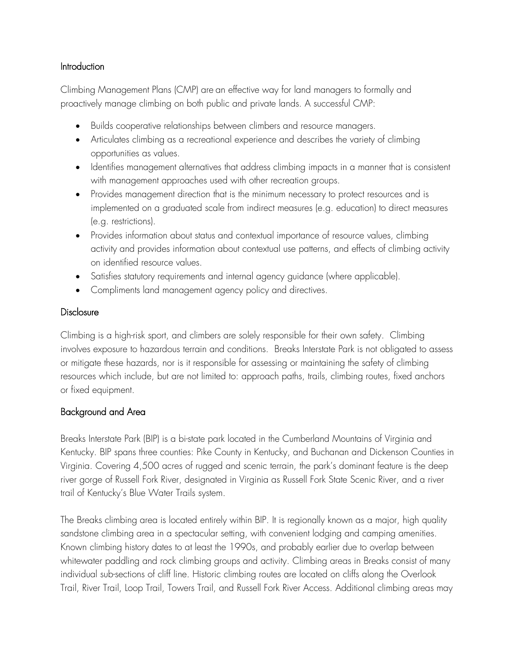#### Introduction

Climbing Management Plans (CMP) are an effective way for land managers to formally and proactively manage climbing on both public and private lands. A successful CMP:

- Builds cooperative relationships between climbers and resource managers.
- Articulates climbing as a recreational experience and describes the variety of climbing opportunities as values.
- Identifies management alternatives that address climbing impacts in a manner that is consistent with management approaches used with other recreation groups.
- Provides management direction that is the minimum necessary to protect resources and is implemented on a graduated scale from indirect measures (e.g. education) to direct measures (e.g. restrictions).
- Provides information about status and contextual importance of resource values, climbing activity and provides information about contextual use patterns, and effects of climbing activity on identified resource values.
- Satisfies statutory requirements and internal agency guidance (where applicable).
- Compliments land management agency policy and directives.

### **Disclosure**

Climbing is a high-risk sport, and climbers are solely responsible for their own safety. Climbing involves exposure to hazardous terrain and conditions. Breaks Interstate Park is not obligated to assess or mitigate these hazards, nor is it responsible for assessing or maintaining the safety of climbing resources which include, but are not limited to: approach paths, trails, climbing routes, fixed anchors or fixed equipment.

## Background and Area

Breaks Interstate Park (BIP) is a bi-state park located in the Cumberland Mountains of Virginia and Kentucky. BIP spans three counties: Pike County in Kentucky, and Buchanan and Dickenson Counties in Virginia. Covering 4,500 acres of rugged and scenic terrain, the park's dominant feature is the deep river gorge of Russell Fork River, designated in Virginia as Russell Fork State Scenic River, and a river trail of Kentucky's Blue Water Trails system.

The Breaks climbing area is located entirely within BIP. It is regionally known as a major, high quality sandstone climbing area in a spectacular setting, with convenient lodging and camping amenities. Known climbing history dates to at least the 1990s, and probably earlier due to overlap between whitewater paddling and rock climbing groups and activity. Climbing areas in Breaks consist of many individual sub-sections of cliff line. Historic climbing routes are located on cliffs along the Overlook Trail, River Trail, Loop Trail, Towers Trail, and Russell Fork River Access. Additional climbing areas may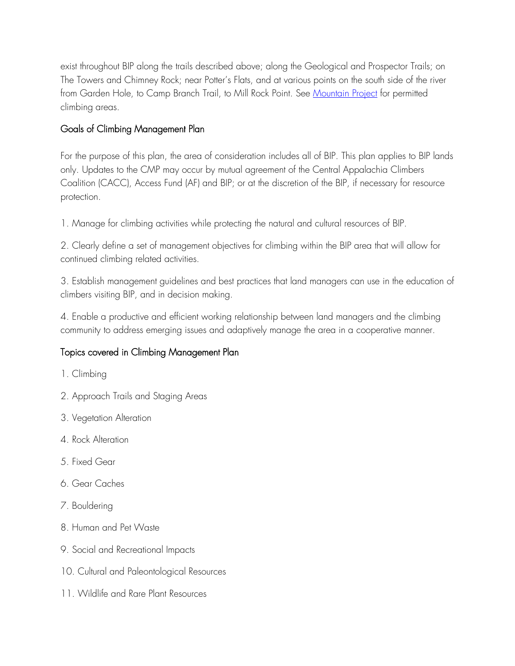exist throughout BIP along the trails described above; along the Geological and Prospector Trails; on The Towers and Chimney Rock; near Potter's Flats, and at various points on the south side of the river from Garden Hole, to Camp Branch Trail, to Mill Rock Point. See Mountain Project for permitted climbing areas.

## Goals of Climbing Management Plan

For the purpose of this plan, the area of consideration includes all of BIP. This plan applies to BIP lands only. Updates to the CMP may occur by mutual agreement of the Central Appalachia Climbers Coalition (CACC), Access Fund (AF) and BIP; or at the discretion of the BIP, if necessary for resource protection.

1. Manage for climbing activities while protecting the natural and cultural resources of BIP.

2. Clearly define a set of management objectives for climbing within the BIP area that will allow for continued climbing related activities.

3. Establish management guidelines and best practices that land managers can use in the education of climbers visiting BIP, and in decision making.

4. Enable a productive and efficient working relationship between land managers and the climbing community to address emerging issues and adaptively manage the area in a cooperative manner.

### Topics covered in Climbing Management Plan

- 1. Climbing
- 2. Approach Trails and Staging Areas
- 3. Vegetation Alteration
- 4. Rock Alteration
- 5. Fixed Gear
- 6. Gear Caches
- 7. Bouldering
- 8. Human and Pet Waste
- 9. Social and Recreational Impacts
- 10. Cultural and Paleontological Resources
- 11. Wildlife and Rare Plant Resources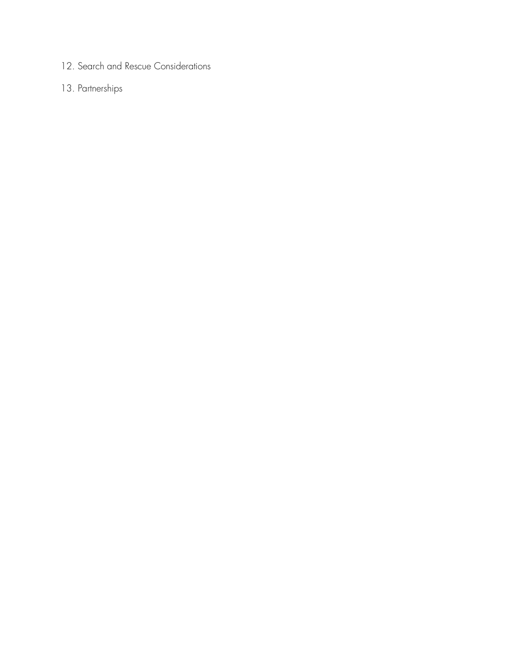12. Search and Rescue Considerations

# 13. Partnerships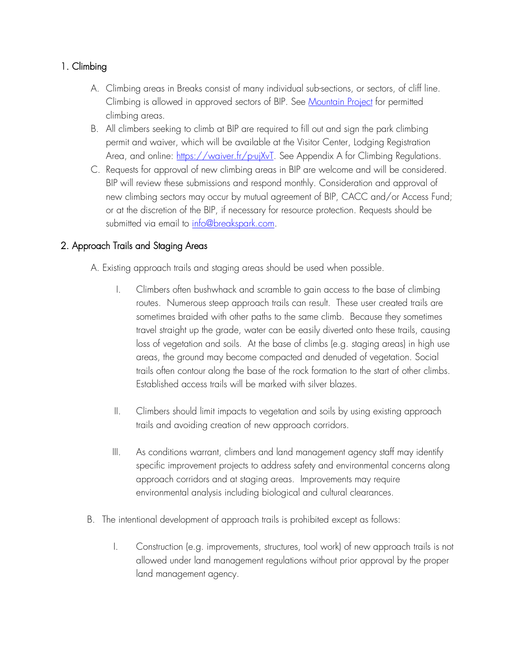## 1. Climbing

- A. Climbing areas in Breaks consist of many individual sub-sections, or sectors, of cliff line. Climbing is allowed in approved sectors of BIP. See Mountain Project for permitted climbing areas.
- B. All climbers seeking to climb at BIP are required to fill out and sign the park climbing permit and waiver, which will be available at the Visitor Center, Lodging Registration Area, and online: https://waiver.fr/p-ujXvT. See Appendix A for Climbing Regulations.
- C. Requests for approval of new climbing areas in BIP are welcome and will be considered. BIP will review these submissions and respond monthly. Consideration and approval of new climbing sectors may occur by mutual agreement of BIP, CACC and/or Access Fund; or at the discretion of the BIP, if necessary for resource protection. Requests should be submitted via email to info@breakspark.com.

### 2. Approach Trails and Staging Areas

A. Existing approach trails and staging areas should be used when possible.

- I. Climbers often bushwhack and scramble to gain access to the base of climbing routes. Numerous steep approach trails can result. These user created trails are sometimes braided with other paths to the same climb. Because they sometimes travel straight up the grade, water can be easily diverted onto these trails, causing loss of vegetation and soils. At the base of climbs (e.g. staging areas) in high use areas, the ground may become compacted and denuded of vegetation. Social trails often contour along the base of the rock formation to the start of other climbs. Established access trails will be marked with silver blazes.
- II. Climbers should limit impacts to vegetation and soils by using existing approach trails and avoiding creation of new approach corridors.
- III. As conditions warrant, climbers and land management agency staff may identify specific improvement projects to address safety and environmental concerns along approach corridors and at staging areas. Improvements may require environmental analysis including biological and cultural clearances.
- B. The intentional development of approach trails is prohibited except as follows:
	- I. Construction (e.g. improvements, structures, tool work) of new approach trails is not allowed under land management regulations without prior approval by the proper land management agency.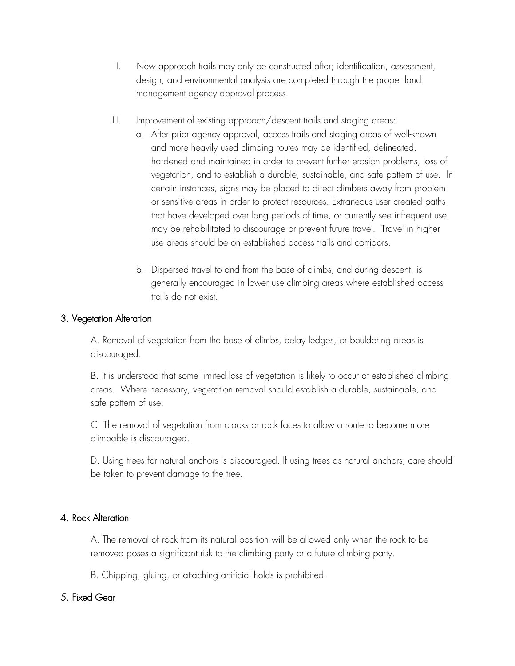- II. New approach trails may only be constructed after; identification, assessment, design, and environmental analysis are completed through the proper land management agency approval process.
- III. Improvement of existing approach/descent trails and staging areas:
	- a. After prior agency approval, access trails and staging areas of well-known and more heavily used climbing routes may be identified, delineated, hardened and maintained in order to prevent further erosion problems, loss of vegetation, and to establish a durable, sustainable, and safe pattern of use. In certain instances, signs may be placed to direct climbers away from problem or sensitive areas in order to protect resources. Extraneous user created paths that have developed over long periods of time, or currently see infrequent use, may be rehabilitated to discourage or prevent future travel. Travel in higher use areas should be on established access trails and corridors.
	- b. Dispersed travel to and from the base of climbs, and during descent, is generally encouraged in lower use climbing areas where established access trails do not exist.

#### 3. Vegetation Alteration

A. Removal of vegetation from the base of climbs, belay ledges, or bouldering areas is discouraged.

B. It is understood that some limited loss of vegetation is likely to occur at established climbing areas. Where necessary, vegetation removal should establish a durable, sustainable, and safe pattern of use.

C. The removal of vegetation from cracks or rock faces to allow a route to become more climbable is discouraged.

D. Using trees for natural anchors is discouraged. If using trees as natural anchors, care should be taken to prevent damage to the tree.

#### 4. Rock Alteration

A. The removal of rock from its natural position will be allowed only when the rock to be removed poses a significant risk to the climbing party or a future climbing party.

B. Chipping, gluing, or attaching artificial holds is prohibited.

### 5. Fixed Gear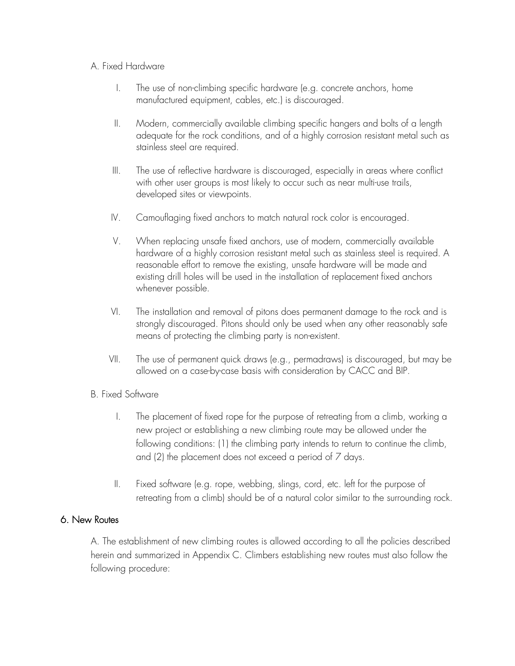#### A. Fixed Hardware

- I. The use of non-climbing specific hardware (e.g. concrete anchors, home manufactured equipment, cables, etc.) is discouraged.
- II. Modern, commercially available climbing specific hangers and bolts of a length adequate for the rock conditions, and of a highly corrosion resistant metal such as stainless steel are required.
- III. The use of reflective hardware is discouraged, especially in areas where conflict with other user groups is most likely to occur such as near multi-use trails, developed sites or viewpoints.
- IV. Camouflaging fixed anchors to match natural rock color is encouraged.
- V. When replacing unsafe fixed anchors, use of modern, commercially available hardware of a highly corrosion resistant metal such as stainless steel is required. A reasonable effort to remove the existing, unsafe hardware will be made and existing drill holes will be used in the installation of replacement fixed anchors whenever possible.
- VI. The installation and removal of pitons does permanent damage to the rock and is strongly discouraged. Pitons should only be used when any other reasonably safe means of protecting the climbing party is non-existent.
- VII. The use of permanent quick draws (e.g., permadraws) is discouraged, but may be allowed on a case-by-case basis with consideration by CACC and BIP.

#### B. Fixed Software

- I. The placement of fixed rope for the purpose of retreating from a climb, working a new project or establishing a new climbing route may be allowed under the following conditions: (1) the climbing party intends to return to continue the climb, and (2) the placement does not exceed a period of 7 days.
- II. Fixed software (e.g. rope, webbing, slings, cord, etc. left for the purpose of retreating from a climb) should be of a natural color similar to the surrounding rock.

#### 6. New Routes

A. The establishment of new climbing routes is allowed according to all the policies described herein and summarized in Appendix C. Climbers establishing new routes must also follow the following procedure: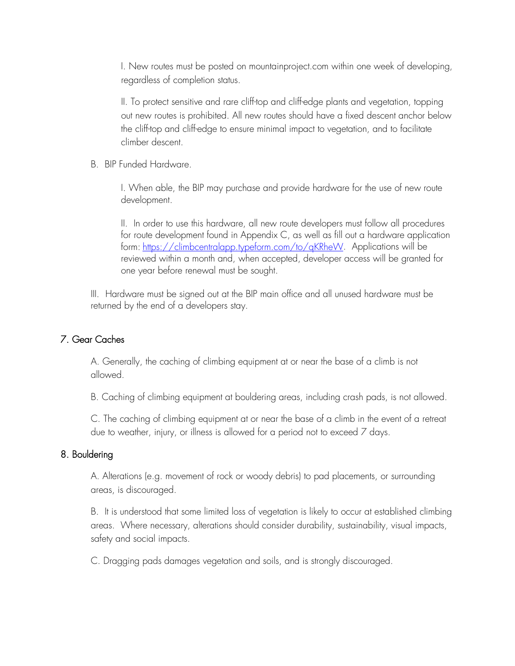I. New routes must be posted on mountainproject.com within one week of developing, regardless of completion status.

II. To protect sensitive and rare cliff-top and cliff-edge plants and vegetation, topping out new routes is prohibited. All new routes should have a fixed descent anchor below the cliff-top and cliff-edge to ensure minimal impact to vegetation, and to facilitate climber descent.

B. BIP Funded Hardware.

I. When able, the BIP may purchase and provide hardware for the use of new route development.

II. In order to use this hardware, all new route developers must follow all procedures for route development found in Appendix C, as well as fill out a hardware application form: https://climbcentralapp.typeform.com/to/qKRheW. Applications will be reviewed within a month and, when accepted, developer access will be granted for one year before renewal must be sought.

III. Hardware must be signed out at the BIP main office and all unused hardware must be returned by the end of a developers stay.

### 7. Gear Caches

A. Generally, the caching of climbing equipment at or near the base of a climb is not allowed.

B. Caching of climbing equipment at bouldering areas, including crash pads, is not allowed.

C. The caching of climbing equipment at or near the base of a climb in the event of a retreat due to weather, injury, or illness is allowed for a period not to exceed 7 days.

#### 8. Bouldering

A. Alterations (e.g. movement of rock or woody debris) to pad placements, or surrounding areas, is discouraged.

B. It is understood that some limited loss of vegetation is likely to occur at established climbing areas. Where necessary, alterations should consider durability, sustainability, visual impacts, safety and social impacts.

C. Dragging pads damages vegetation and soils, and is strongly discouraged.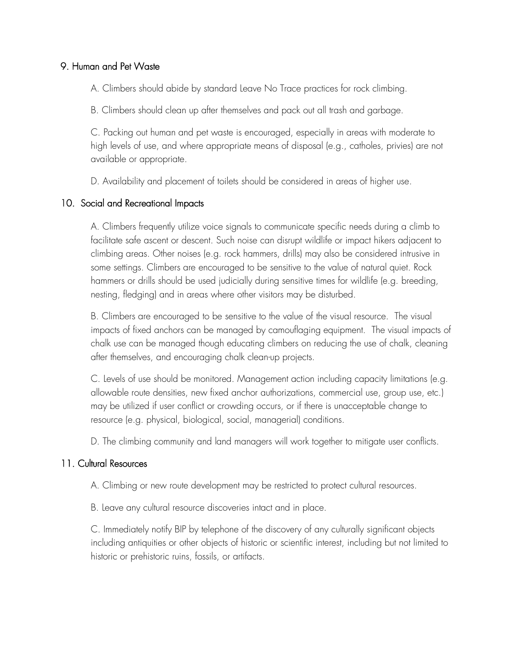#### 9. Human and Pet Waste

A. Climbers should abide by standard Leave No Trace practices for rock climbing.

B. Climbers should clean up after themselves and pack out all trash and garbage.

C. Packing out human and pet waste is encouraged, especially in areas with moderate to high levels of use, and where appropriate means of disposal (e.g., catholes, privies) are not available or appropriate.

D. Availability and placement of toilets should be considered in areas of higher use.

#### 10. Social and Recreational Impacts

A. Climbers frequently utilize voice signals to communicate specific needs during a climb to facilitate safe ascent or descent. Such noise can disrupt wildlife or impact hikers adjacent to climbing areas. Other noises (e.g. rock hammers, drills) may also be considered intrusive in some settings. Climbers are encouraged to be sensitive to the value of natural quiet. Rock hammers or drills should be used judicially during sensitive times for wildlife (e.g. breeding, nesting, fledging) and in areas where other visitors may be disturbed.

B. Climbers are encouraged to be sensitive to the value of the visual resource. The visual impacts of fixed anchors can be managed by camouflaging equipment. The visual impacts of chalk use can be managed though educating climbers on reducing the use of chalk, cleaning after themselves, and encouraging chalk clean-up projects.

C. Levels of use should be monitored. Management action including capacity limitations (e.g. allowable route densities, new fixed anchor authorizations, commercial use, group use, etc.) may be utilized if user conflict or crowding occurs, or if there is unacceptable change to resource (e.g. physical, biological, social, managerial) conditions.

D. The climbing community and land managers will work together to mitigate user conflicts.

#### 11. Cultural Resources

A. Climbing or new route development may be restricted to protect cultural resources.

B. Leave any cultural resource discoveries intact and in place.

C. Immediately notify BIP by telephone of the discovery of any culturally significant objects including antiquities or other objects of historic or scientific interest, including but not limited to historic or prehistoric ruins, fossils, or artifacts.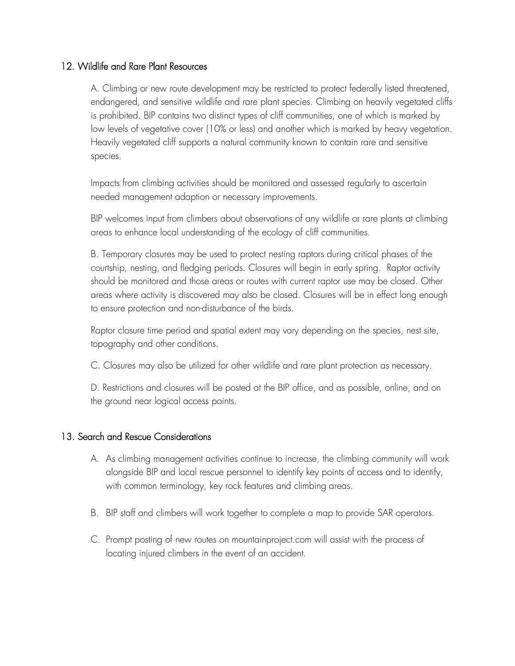#### 12. Wildlife and Rare Plant Resources

A. Climbing or new route development may be restricted to protect federally listed threatened, endangered, and sensitive wildlife and rare plant species. Climbing on heavily vegetated cliffs is prohibited. BIP contains two distinct types of cliff communities, one of which is marked by low levels of vegetative cover (10% or less) and another which is marked by heavy vegetation. Heavily vegetated cliff supports a natural community known to contain rare and sensitive species.

Impacts from climbing activities should be monitored and assessed regularly to ascertain needed management adaption or necessary improvements.

BIP welcomes input from climbers about observations of any wildlife or rare plants at climbing areas to enhance local understanding of the ecology of cliff communities.

B. Temporary closures may be used to protect nesting raptors during critical phases of the courtship, nesting, and fledging periods. Closures will begin in early spring. Raptor activity should be monitored and those areas or routes with current raptor use may be closed. Other areas where activity is discovered may also be closed. Closures will be in effect long enough to ensure protection and non-disturbance of the birds.

Raptor closure time period and spatial extent may vary depending on the species, nest site, topography and other conditions.

C. Closures may also be utilized for other wildlife and rare plant protection as necessary.

D. Restrictions and closures will be posted at the BIP office, and as possible, online, and on the ground near logical access points.

#### 13. Search and Rescue Considerations

- A. As climbing management activities continue to increase, the climbing community will work alongside BIP and local rescue personnel to identify key points of access and to identify, with common terminology, key rock features and climbing areas.
- B. BIP staff and climbers will work together to complete a map to provide SAR operators.
- C. Prompt posting of new routes on mountainproject.com will assist with the process of locating injured climbers in the event of an accident.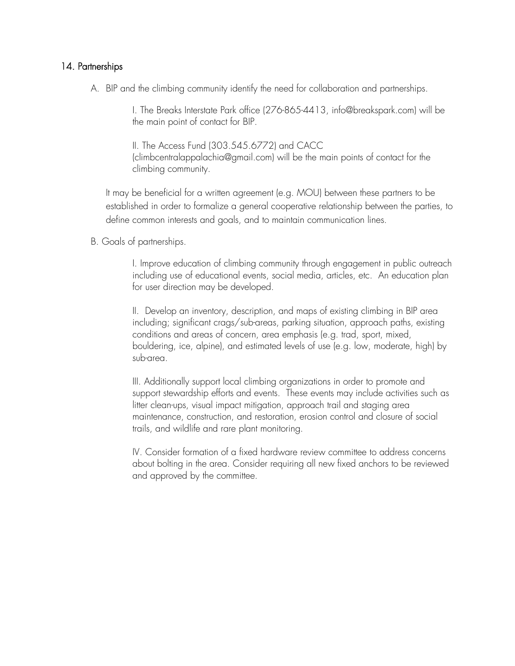#### 14. Partnerships

A. BIP and the climbing community identify the need for collaboration and partnerships.

I. The Breaks Interstate Park office (276-865-4413, info@breakspark.com) will be the main point of contact for BIP.

II. The Access Fund (303.545.6772) and CACC (climbcentralappalachia@gmail.com) will be the main points of contact for the climbing community.

It may be beneficial for a written agreement (e.g. MOU) between these partners to be established in order to formalize a general cooperative relationship between the parties, to define common interests and goals, and to maintain communication lines.

B. Goals of partnerships.

I. Improve education of climbing community through engagement in public outreach including use of educational events, social media, articles, etc. An education plan for user direction may be developed.

II. Develop an inventory, description, and maps of existing climbing in BIP area including; significant crags/sub-areas, parking situation, approach paths, existing conditions and areas of concern, area emphasis (e.g. trad, sport, mixed, bouldering, ice, alpine), and estimated levels of use (e.g. low, moderate, high) by sub-area.

III. Additionally support local climbing organizations in order to promote and support stewardship efforts and events. These events may include activities such as litter clean-ups, visual impact mitigation, approach trail and staging area maintenance, construction, and restoration, erosion control and closure of social trails, and wildlife and rare plant monitoring.

IV. Consider formation of a fixed hardware review committee to address concerns about bolting in the area. Consider requiring all new fixed anchors to be reviewed and approved by the committee.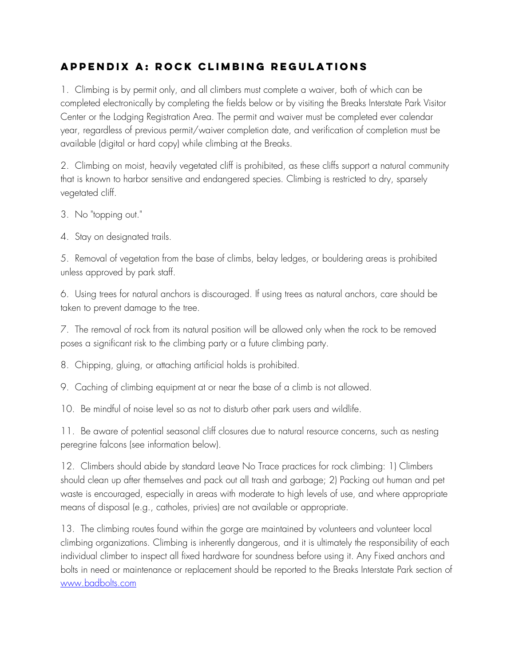# **APPENDIX A: Rock climbing Regulations**

1. Climbing is by permit only, and all climbers must complete a waiver, both of which can be completed electronically by completing the fields below or by visiting the Breaks Interstate Park Visitor Center or the Lodging Registration Area. The permit and waiver must be completed ever calendar year, regardless of previous permit/waiver completion date, and verification of completion must be available (digital or hard copy) while climbing at the Breaks.

2. Climbing on moist, heavily vegetated cliff is prohibited, as these cliffs support a natural community that is known to harbor sensitive and endangered species. Climbing is restricted to dry, sparsely vegetated cliff.

3. No "topping out."

4. Stay on designated trails.

5. Removal of vegetation from the base of climbs, belay ledges, or bouldering areas is prohibited unless approved by park staff.

6. Using trees for natural anchors is discouraged. If using trees as natural anchors, care should be taken to prevent damage to the tree.

7. The removal of rock from its natural position will be allowed only when the rock to be removed poses a significant risk to the climbing party or a future climbing party.

8. Chipping, gluing, or attaching artificial holds is prohibited.

9. Caching of climbing equipment at or near the base of a climb is not allowed.

10. Be mindful of noise level so as not to disturb other park users and wildlife.

11. Be aware of potential seasonal cliff closures due to natural resource concerns, such as nesting peregrine falcons (see information below).

12. Climbers should abide by standard Leave No Trace practices for rock climbing: 1) Climbers should clean up after themselves and pack out all trash and garbage; 2) Packing out human and pet waste is encouraged, especially in areas with moderate to high levels of use, and where appropriate means of disposal (e.g., catholes, privies) are not available or appropriate.

13. The climbing routes found within the gorge are maintained by volunteers and volunteer local climbing organizations. Climbing is inherently dangerous, and it is ultimately the responsibility of each individual climber to inspect all fixed hardware for soundness before using it. Any Fixed anchors and bolts in need or maintenance or replacement should be reported to the Breaks Interstate Park section of www.badbolts.com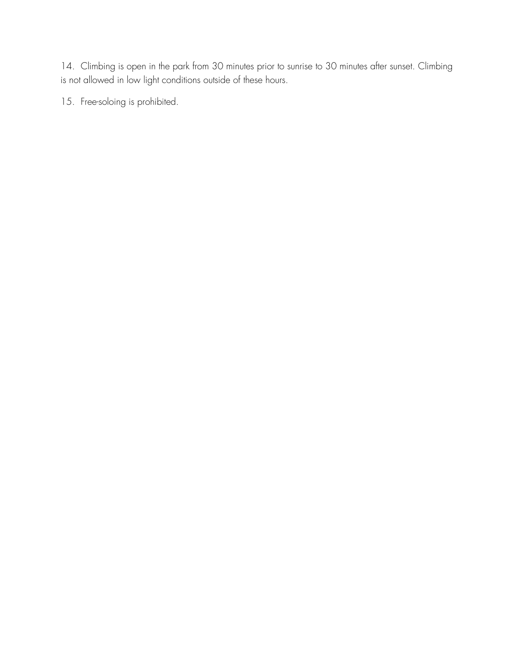14. Climbing is open in the park from 30 minutes prior to sunrise to 30 minutes after sunset. Climbing is not allowed in low light conditions outside of these hours.

15. Free-soloing is prohibited.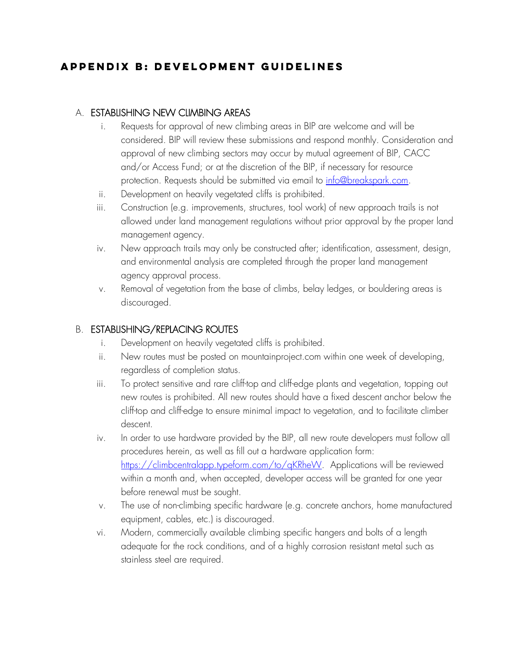# **APPENDIX b: Development guidelines**

### A. ESTABLISHING NEW CLIMBING AREAS

- i. Requests for approval of new climbing areas in BIP are welcome and will be considered. BIP will review these submissions and respond monthly. Consideration and approval of new climbing sectors may occur by mutual agreement of BIP, CACC and/or Access Fund; or at the discretion of the BIP, if necessary for resource protection. Requests should be submitted via email to info@breakspark.com.
- ii. Development on heavily vegetated cliffs is prohibited.
- iii. Construction (e.g. improvements, structures, tool work) of new approach trails is not allowed under land management regulations without prior approval by the proper land management agency.
- iv. New approach trails may only be constructed after; identification, assessment, design, and environmental analysis are completed through the proper land management agency approval process.
- v. Removal of vegetation from the base of climbs, belay ledges, or bouldering areas is discouraged.

### B. ESTABLISHING/REPLACING ROUTES

- i. Development on heavily vegetated cliffs is prohibited.
- ii. New routes must be posted on mountainproject.com within one week of developing, regardless of completion status.
- iii. To protect sensitive and rare cliff-top and cliff-edge plants and vegetation, topping out new routes is prohibited. All new routes should have a fixed descent anchor below the cliff-top and cliff-edge to ensure minimal impact to vegetation, and to facilitate climber descent.
- iv. In order to use hardware provided by the BIP, all new route developers must follow all procedures herein, as well as fill out a hardware application form: https://climbcentralapp.typeform.com/to/qKRheW. Applications will be reviewed within a month and, when accepted, developer access will be granted for one year before renewal must be sought.
- v. The use of non-climbing specific hardware (e.g. concrete anchors, home manufactured equipment, cables, etc.) is discouraged.
- vi. Modern, commercially available climbing specific hangers and bolts of a length adequate for the rock conditions, and of a highly corrosion resistant metal such as stainless steel are required.